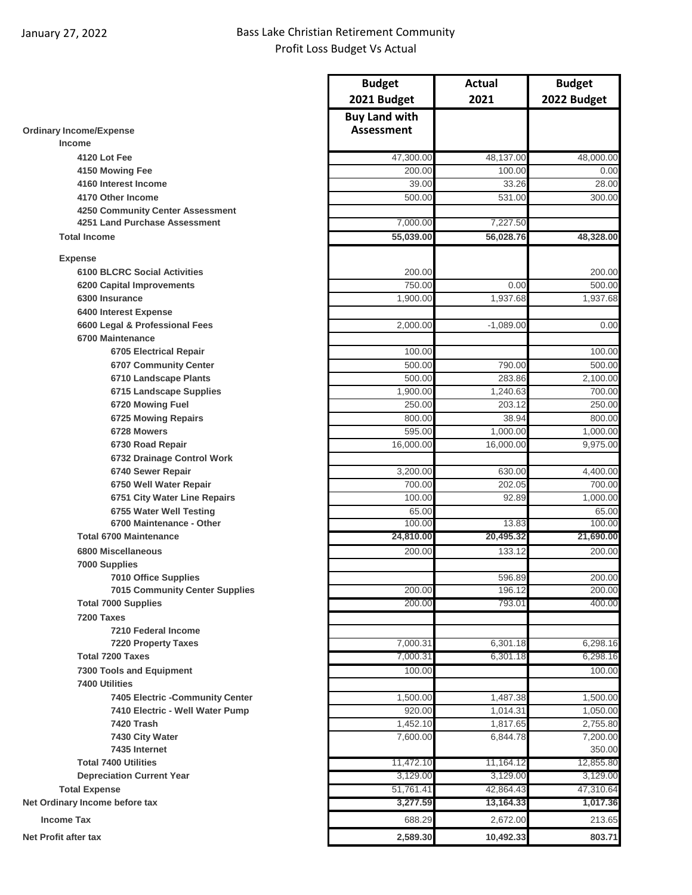## January 27, 2022 Bass Lake Christian Retirement Community Profit Loss Budget Vs Actual

|                                                        | <b>Budget</b>                             | Actual                | <b>Budget</b>      |
|--------------------------------------------------------|-------------------------------------------|-----------------------|--------------------|
|                                                        | 2021 Budget                               | 2021                  | 2022 Budget        |
| <b>Ordinary Income/Expense</b>                         | <b>Buy Land with</b><br><b>Assessment</b> |                       |                    |
| <b>Income</b>                                          |                                           |                       |                    |
| 4120 Lot Fee                                           | 47,300.00                                 | 48,137.00             | 48,000.00          |
| 4150 Mowing Fee                                        | 200.00                                    | 100.00                | 0.00               |
| 4160 Interest Income                                   | 39.00                                     | 33.26                 | 28.00              |
| 4170 Other Income                                      | 500.00                                    | 531.00                | 300.00             |
| 4250 Community Center Assessment                       |                                           |                       |                    |
| 4251 Land Purchase Assessment<br><b>Total Income</b>   | 7,000.00<br>55,039.00                     | 7,227.50<br>56,028.76 | 48,328.00          |
|                                                        |                                           |                       |                    |
| <b>Expense</b>                                         |                                           |                       |                    |
| <b>6100 BLCRC Social Activities</b>                    | 200.00                                    |                       | 200.00             |
| 6200 Capital Improvements                              | 750.00                                    | 0.00                  | 500.00             |
| 6300 Insurance                                         | 1,900.00                                  | 1,937.68              | 1,937.68           |
| 6400 Interest Expense                                  |                                           |                       |                    |
| 6600 Legal & Professional Fees                         | 2,000.00                                  | $-1,089.00$           | 0.00               |
| 6700 Maintenance                                       |                                           |                       |                    |
| <b>6705 Electrical Repair</b>                          | 100.00                                    |                       | 100.00             |
| 6707 Community Center                                  | 500.00                                    | 790.00                | 500.00             |
| 6710 Landscape Plants                                  | 500.00                                    | 283.86                | 2,100.00           |
| 6715 Landscape Supplies                                | 1,900.00                                  | 1,240.63              | 700.00             |
| 6720 Mowing Fuel                                       | 250.00                                    | 203.12                | 250.00             |
| 6725 Mowing Repairs                                    | 800.00                                    | 38.94                 | 800.00             |
| 6728 Mowers                                            | 595.00                                    | 1,000.00              | 1,000.00           |
| 6730 Road Repair                                       | 16,000.00                                 | 16,000.00             | 9,975.00           |
| 6732 Drainage Control Work                             |                                           |                       |                    |
| 6740 Sewer Repair                                      | 3,200.00<br>700.00                        | 630.00<br>202.05      | 4,400.00<br>700.00 |
| 6750 Well Water Repair<br>6751 City Water Line Repairs | 100.00                                    | 92.89                 | 1,000.00           |
| 6755 Water Well Testing                                | 65.00                                     |                       | 65.00              |
| 6700 Maintenance - Other                               | 100.00                                    | 13.83                 | 100.00             |
| <b>Total 6700 Maintenance</b>                          | 24,810.00                                 | 20,495.32             | 21,690.00          |
| 6800 Miscellaneous                                     | 200.00                                    | 133.12                | 200.00             |
| 7000 Supplies                                          |                                           |                       |                    |
| <b>7010 Office Supplies</b>                            |                                           | 596.89                | 200.00             |
| <b>7015 Community Center Supplies</b>                  | 200.00                                    | 196.12                | 200.00             |
| <b>Total 7000 Supplies</b>                             | 200.00                                    | 793.01                | 400.00             |
| 7200 Taxes                                             |                                           |                       |                    |
| <b>7210 Federal Income</b>                             |                                           |                       |                    |
| <b>7220 Property Taxes</b>                             | 7,000.31                                  | 6,301.18              | 6,298.16           |
| <b>Total 7200 Taxes</b>                                | 7,000.31                                  | 6,301.18              | 6,298.16           |
| 7300 Tools and Equipment                               | 100.00                                    |                       | 100.00             |
| <b>7400 Utilities</b>                                  |                                           |                       |                    |
| 7405 Electric -Community Center                        | 1,500.00                                  | 1,487.38              | 1,500.00           |
| 7410 Electric - Well Water Pump                        | 920.00                                    | 1,014.31              | 1,050.00           |
| 7420 Trash                                             | 1,452.10                                  | 1,817.65              | 2,755.80           |
| 7430 City Water                                        | 7,600.00                                  | 6,844.78              | 7,200.00           |
| 7435 Internet                                          |                                           |                       | 350.00             |
| <b>Total 7400 Utilities</b>                            | 11,472.10                                 | 11,164.12             | 12,855.80          |
| <b>Depreciation Current Year</b>                       | 3,129.00                                  | 3,129.00              | 3,129.00           |
| <b>Total Expense</b>                                   | 51,761.41                                 | 42,864.43             | 47,310.64          |
| Net Ordinary Income before tax                         | 3,277.59                                  | 13,164.33             | 1,017.36           |
| <b>Income Tax</b>                                      | 688.29                                    | 2,672.00              | 213.65             |
| <b>Net Profit after tax</b>                            | 2,589.30                                  | 10,492.33             | 803.71             |
|                                                        |                                           |                       |                    |